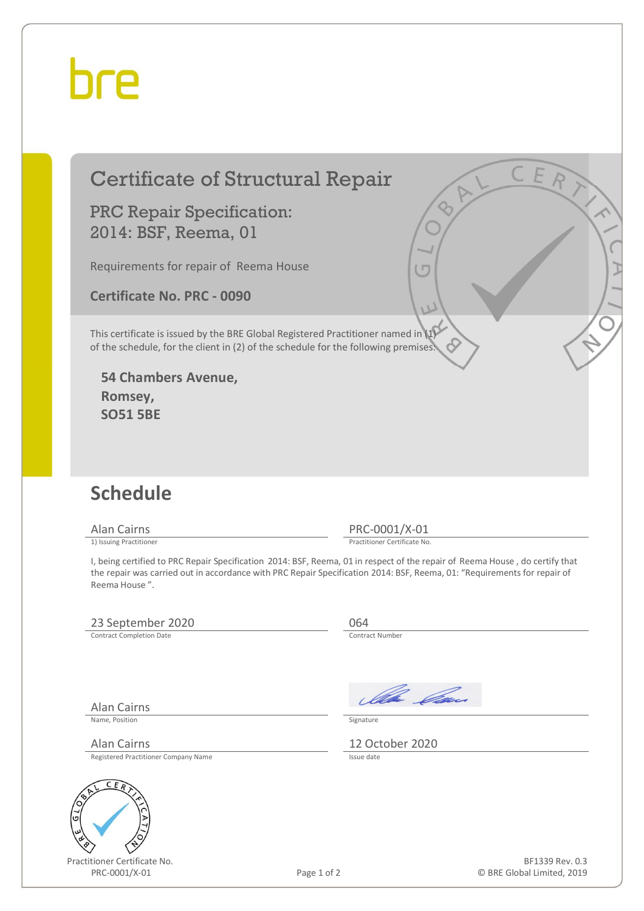## hre

### Certificate of Structural Repair

PRC Repair Specification: 2014: BSF, Reema, 01

Requirements for repair of Reema House

**Certificate No. PRC - 0090** 

This certificate is issued by the BRE Global Registered Practitioner named in (1) of the schedule, for the client in (2) of the schedule for the following premises:

**54 Chambers Avenue, Romsey, SO51 5BE** 

#### **Schedule**

Alan Cairns PRC-0001/X-01<br>
1) Issuing Practitioner<br>
Practitioner Certificate No

Practitioner Certificate No.

I, being certified to PRC Repair Specification 2014: BSF, Reema, 01 in respect of the repair of Reema House , do certify that the repair was carried out in accordance with PRC Repair Specification 2014: BSF, Reema, 01: "Requirements for repair of Reema House ".

#### 23 September 2020<br>
Contract Completion Date<br>
Contract Number

Contract Completion Date

Alan Cairns

Older *Ca*s

Name, Position Signature

Alan Cairns 12 October 2020 Registered Practitioner Company Name

Practitioner Certificate No. PRC-0001/X-01 Page 1 of 2